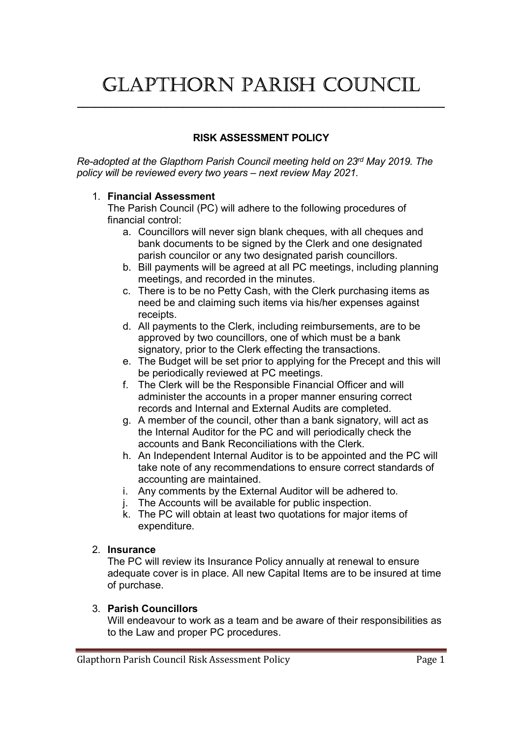# Glapthorn parish CounCil

 $\_$ 

## RISK ASSESSMENT POLICY

Re-adopted at the Glapthorn Parish Council meeting held on 23rd May 2019. The policy will be reviewed every two years – next review May 2021.

### 1. Financial Assessment

The Parish Council (PC) will adhere to the following procedures of financial control:

- a. Councillors will never sign blank cheques, with all cheques and bank documents to be signed by the Clerk and one designated parish councilor or any two designated parish councillors.
- b. Bill payments will be agreed at all PC meetings, including planning meetings, and recorded in the minutes.
- c. There is to be no Petty Cash, with the Clerk purchasing items as need be and claiming such items via his/her expenses against receipts.
- d. All payments to the Clerk, including reimbursements, are to be approved by two councillors, one of which must be a bank signatory, prior to the Clerk effecting the transactions.
- e. The Budget will be set prior to applying for the Precept and this will be periodically reviewed at PC meetings.
- f. The Clerk will be the Responsible Financial Officer and will administer the accounts in a proper manner ensuring correct records and Internal and External Audits are completed.
- g. A member of the council, other than a bank signatory, will act as the Internal Auditor for the PC and will periodically check the accounts and Bank Reconciliations with the Clerk.
- h. An Independent Internal Auditor is to be appointed and the PC will take note of any recommendations to ensure correct standards of accounting are maintained.
- i. Any comments by the External Auditor will be adhered to.
- j. The Accounts will be available for public inspection.
- k. The PC will obtain at least two quotations for major items of expenditure.

## 2. Insurance

The PC will review its Insurance Policy annually at renewal to ensure adequate cover is in place. All new Capital Items are to be insured at time of purchase.

## 3. Parish Councillors

Will endeavour to work as a team and be aware of their responsibilities as to the Law and proper PC procedures.